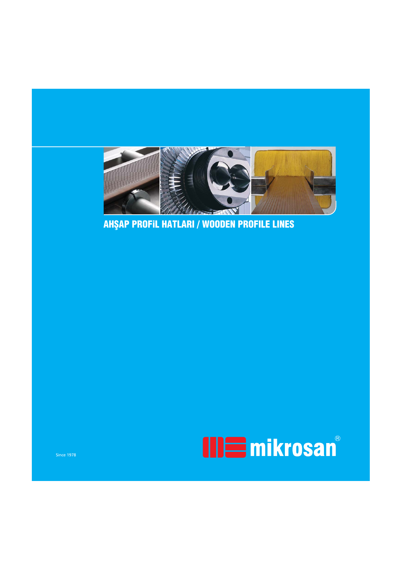

AHŞAP PROFIL HATLARI / WOODEN PROFILE LINES

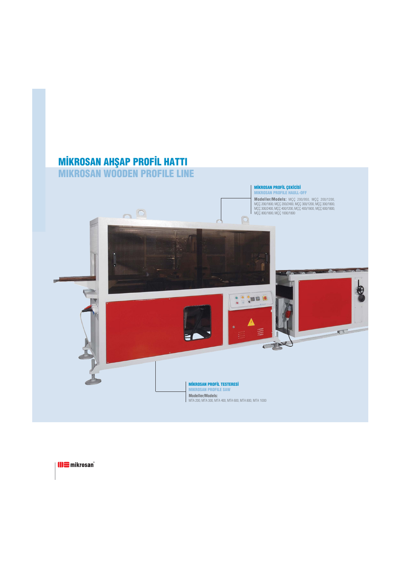## **MIKROSAN AHŞAP PROFIL HATTI** MIKROSAN WOODEN PROFILE LINE

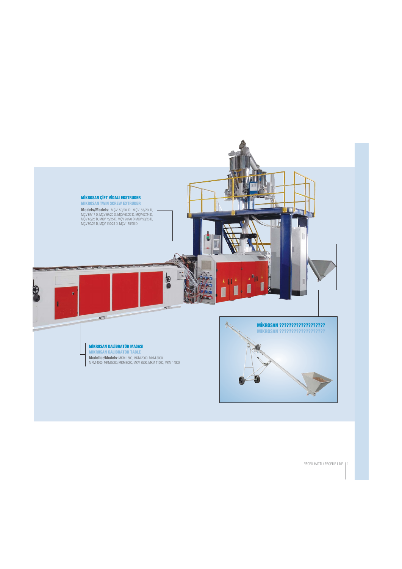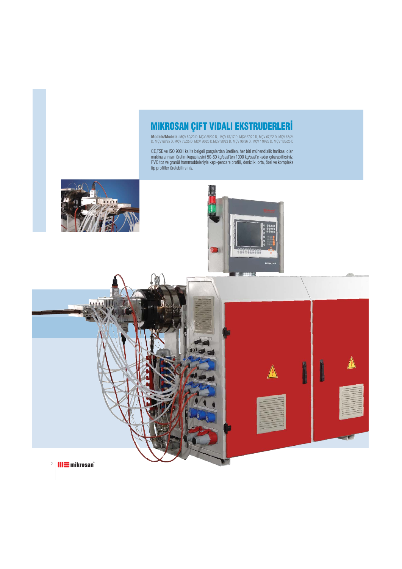## MIKROSAN ÇIFT VIDALI EKSTRUDERLERİ

**Models/Models:** MÇV 50/20 D, MÇV 55/20 D, MÇV 67/17 D, MÇV 67/20 D, MÇV 67/22 D, MÇV 67/24 D, MÇV 68/25 D, MÇV 75/25 D, MÇV 90/20 D,MÇV 90/23 D, MÇV 90/26 D, MÇV 110/25 D, MÇV 135/25 D

CE,TSE ve ISO 9001 kalite belgeli parçalardan üretilen, her biri mühendislik harikası olan makinalarınızın üretim kapasitesini 50-60 kg/saat'ten 1000 kg/saat'e kadar çıkarabilirsiniz. PVC toz ve granül hammaddeleriyle kapı-pencere profili, denizlik, orta, özel ve kompleks tip profiller üretebilirsiniz.

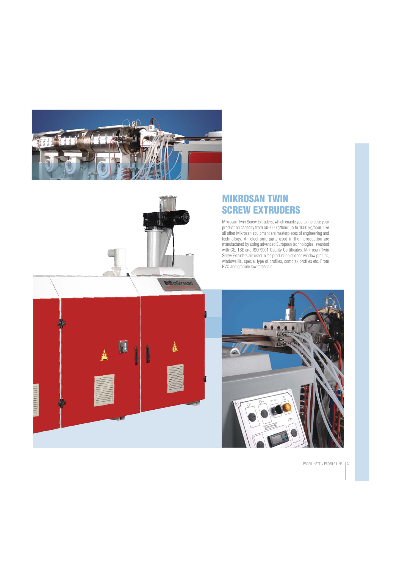



#### MIKROSAN TWIN SCREW EXTRUDERS

Mikrosan Twin Screw Extruders, which enable you to increase your production capacity from 50–60 kg/hour up to 1000 kg/hour, like all other Mikrosan equipment are masterpieces of engineering and technology. All electronic parts used in their production are manufactured by using advanced European technologies, awarded with CE, TSE and ISO 9001 Quality Certificates. Mikrosan Twin Screw Extruders are used in the production of door-window profiles, windowsills, special type of profiles, complex profiles etc. From PVC and granule raw materials.



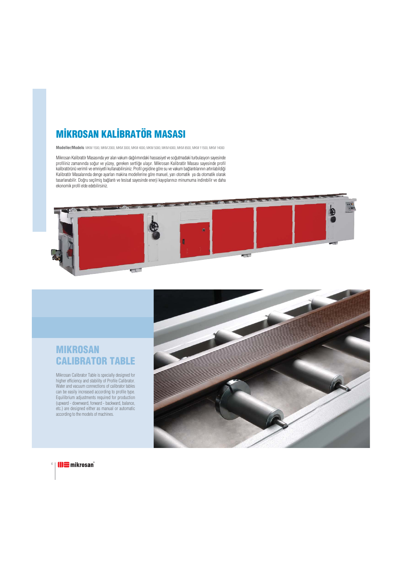# **MİKROSAN KALİBRATÖR MASASI**

**Modeller/Models**: MKM 1500, MKM 2000, MKM 3000, MKM 4000, MKM 5000, MKM 6000, MKM 8500, MKM 11500, MKM 14000

Mikrosan Kalibratör Masasında yer alan vakum dağılımındaki hassasiyet ve soğutmadaki turbulasyon sayesinde profiliniz zamanında soğur ve yüzey, gereken sertliğe ulaşır. Mikrosan Kalibratör Masası sayesinde profil kalibratörünü verimli ve emniyetli kullanabilirsiniz. Profil çeşidine göre su ve vakum bağlantılarının artırılabildiği Kalibratör Masalarında denge ayarları makina modellerine göre manuel, yarı otomatik ya da otomatik olarak tasarlanabilir. Doğru seçilmiş bağlantı ve tesisat sayesinde enerji kayıplarınızı minumuma indirebilir ve daha ekonomik profil elde edebilirsiniz.



#### MIKROSAN CALIBRATOR TABLE

Mikrosan Calibrator Table is specially designed for higher efficiency and stability of Profile Calibrator. Water and vacuum connections of calibrator tables can be easily increased according to profile type. Equilibrium adjustments required for production (upward - downward, forward - backward, balance, etc.) are designed either as manual or automatic according to the models of machines.



 $4$  | **III** mikrosan<sup>®</sup>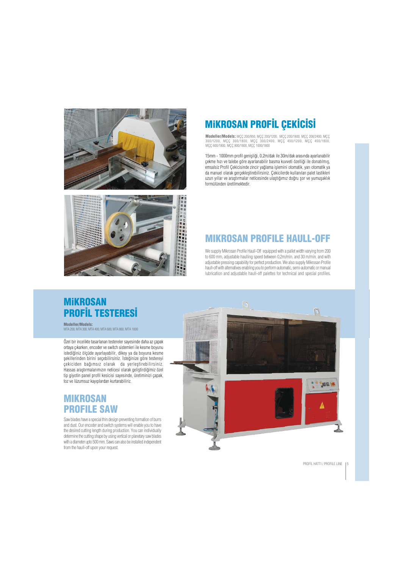



# **MIKROSAN PROFİL ÇEKİCİSİ**

**Modeller/Models:** MÇÇ 200/950, MÇÇ 200/1200, MÇÇ 200/1800, MÇÇ 200/2400, MÇÇ 300/1200, MÇÇ 300/1800, MÇÇ 300/2400, MÇÇ 400/1200, MÇÇ 400/1800, MÇÇ 600/1800, MÇÇ 800/1800, MÇÇ 1000/1800

15mm - 1000mm profil genişliği, 0,2m/dak ile 30m/dak arasında ayarlanabilir çekme hızı ve talebe göre ayarlanabilir basma kuvveti özelliği ile donatılmış, emsalsiz Profil Çekicisinde zincir yağlama işlemini otomatik, yarı otomatik ya da manuel olarak gerçekleştirebilirsiniz. Çekicilerde kullanılan palet lastikleri uzun yıllar ve araştırmalar neticesinde ulaştığımız doğru şor ve yumuşaklık formülünden üretilmektedir.

## MIKROSAN PROFILE HAULL-OFF

We supply Mikrosan Profile Haull-Off equipped with a pallet width varying from 200 to 600 mm, adjustable haulling speed between 0,2m/min. and 30 m/min. and with adjustable pressing capability for perfect production. We also supply Mikrosan Profile haull-off with alternatives enabling you to perform automatic, semi-automatic or manual lubrication and adjustable haull-off palettes for technical and special profiles.

## MiKROSAN **PROFIL TESTERESI**

**Modeller/Models:** MTA 200, MTA 300, MTA 400, MTA 600, MTA 800, MTA 1000

Özel bir incelikte tasarlanan testereler sayesinde daha az çapak ortaya çıkarken, encoder ve switch sistemleri ile kesme boyunu istediğiniz ölçüde ayarlayabilir, dikey ya da boyuna kesme şekillerinden birini seçebilirsiniz. İsteğinize göre testereyi çekiciden bağımsız olarak da yerleştirebilirsiniz. Hassas araştırmalarımızın neticesi olarak geliştirdiğimiz özel tip giyotin panel profil kesicisi sayesinde, üretiminizi çapak, toz ve lüzumsuz kayıplardan kurtarabiliriz.

#### MIKROSAN PROFILE SAW

Saw blades have a special thin design preventing formation of burrs and dust. Our encoder and switch systems will enable you to have the desired cutting length during production. You can individually determine the cutting shape by using vertical or planetary saw blades with a diameter upto 500 mm. Saws can also be installed independent from the haull-off upon your request.